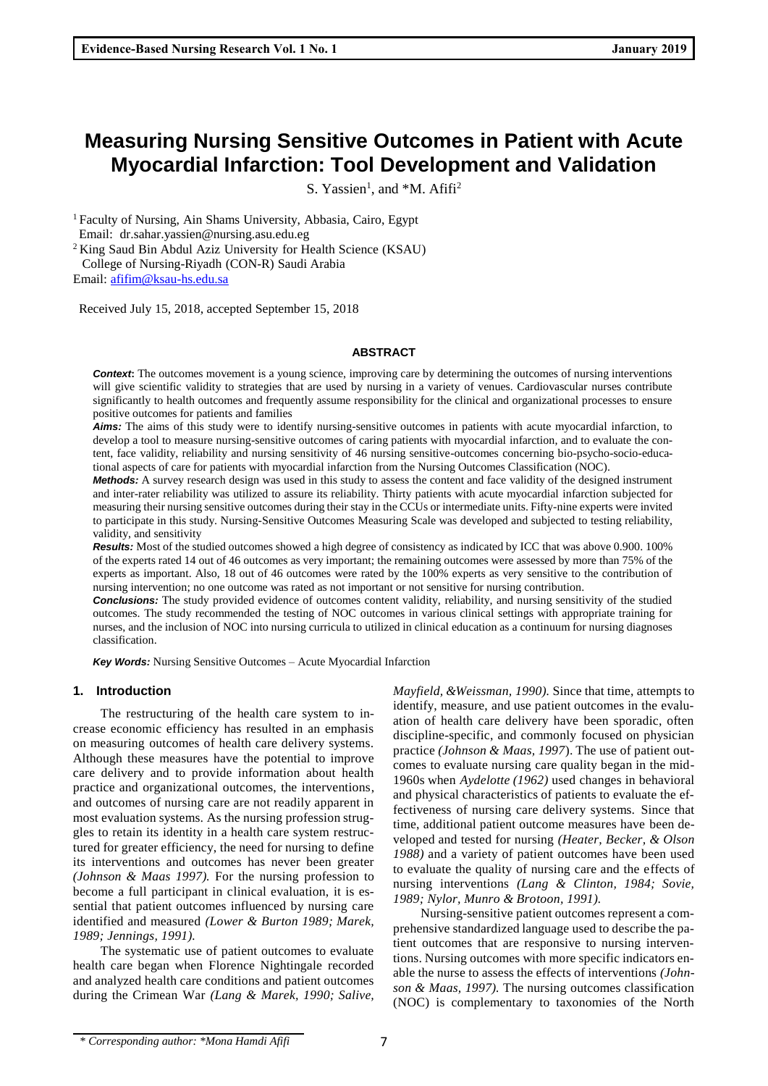S. Yassien<sup>1</sup>, and \*M. Afifi<sup>2</sup>

<sup>1</sup>Faculty of Nursing, Ain Shams University, Abbasia, Cairo, Egypt Email: [dr.sahar.yassien@nursing.asu.edu.eg](mailto:dr.sahar.yassien@nursing.asu.edu.eg)

<sup>2</sup> King Saud Bin Abdul Aziz University for Health Science (KSAU) College of Nursing-Riyadh (CON-R) Saudi Arabia Email: [afifim@ksau-hs.edu.sa](mailto:afifim@ksau-hs.edu.sa)

Received July 15, 2018, accepted September 15, 2018

#### **ABSTRACT**

**Context:** The outcomes movement is a young science, improving care by determining the outcomes of nursing interventions will give scientific validity to strategies that are used by nursing in a variety of venues. Cardiovascular nurses contribute significantly to health outcomes and frequently assume responsibility for the clinical and organizational processes to ensure positive outcomes for patients and families

*Aims:* The aims of this study were to identify nursing-sensitive outcomes in patients with acute myocardial infarction, to develop a tool to measure nursing-sensitive outcomes of caring patients with myocardial infarction, and to evaluate the content, face validity, reliability and nursing sensitivity of 46 nursing sensitive-outcomes concerning bio-psycho-socio-educational aspects of care for patients with myocardial infarction from the Nursing Outcomes Classification (NOC).

*Methods:* A survey research design was used in this study to assess the content and face validity of the designed instrument and inter-rater reliability was utilized to assure its reliability. Thirty patients with acute myocardial infarction subjected for measuring their nursing sensitive outcomes during their stay in the CCUs or intermediate units. Fifty-nine experts were invited to participate in this study. Nursing-Sensitive Outcomes Measuring Scale was developed and subjected to testing reliability, validity, and sensitivity

*Results:* Most of the studied outcomes showed a high degree of consistency as indicated by ICC that was above 0.900. 100% of the experts rated 14 out of 46 outcomes as very important; the remaining outcomes were assessed by more than 75% of the experts as important. Also, 18 out of 46 outcomes were rated by the 100% experts as very sensitive to the contribution of nursing intervention; no one outcome was rated as not important or not sensitive for nursing contribution.

**Conclusions:** The study provided evidence of outcomes content validity, reliability, and nursing sensitivity of the studied outcomes. The study recommended the testing of NOC outcomes in various clinical settings with appropriate training for nurses, and the inclusion of NOC into nursing curricula to utilized in clinical education as a continuum for nursing diagnoses classification.

*Key Words:* Nursing Sensitive Outcomes – Acute Myocardial Infarction

## **1. Introduction**

The restructuring of the health care system to increase economic efficiency has resulted in an emphasis on measuring outcomes of health care delivery systems. Although these measures have the potential to improve care delivery and to provide information about health practice and organizational outcomes, the interventions, and outcomes of nursing care are not readily apparent in most evaluation systems. As the nursing profession struggles to retain its identity in a health care system restructured for greater efficiency, the need for nursing to define its interventions and outcomes has never been greater *(Johnson & Maas 1997).* For the nursing profession to become a full participant in clinical evaluation, it is essential that patient outcomes influenced by nursing care identified and measured *(Lower & Burton 1989; Marek, 1989; Jennings, 1991).*

The systematic use of patient outcomes to evaluate health care began when Florence Nightingale recorded and analyzed health care conditions and patient outcomes during the Crimean War *(Lang & Marek, 1990; Salive,* 

*Mayfield, &Weissman, 1990).* Since that time, attempts to identify, measure, and use patient outcomes in the evaluation of health care delivery have been sporadic, often discipline-specific, and commonly focused on physician practice *(Johnson & Maas, 1997*). The use of patient outcomes to evaluate nursing care quality began in the mid-1960s when *Aydelotte (1962)* used changes in behavioral and physical characteristics of patients to evaluate the effectiveness of nursing care delivery systems. Since that time, additional patient outcome measures have been developed and tested for nursing *(Heater, Becker, & Olson 1988)* and a variety of patient outcomes have been used to evaluate the quality of nursing care and the effects of nursing interventions *(Lang & Clinton, 1984; Sovie, 1989; Nylor, Munro & Brotoon, 1991).*

Nursing-sensitive patient outcomes represent a comprehensive standardized language used to describe the patient outcomes that are responsive to nursing interventions. Nursing outcomes with more specific indicators enable the nurse to assess the effects of interventions *(Johnson & Maas, 1997).* The nursing outcomes classification (NOC) is complementary to taxonomies of the North

<sup>\*</sup> *Corresponding author: \*Mona Hamdi Afifi* 7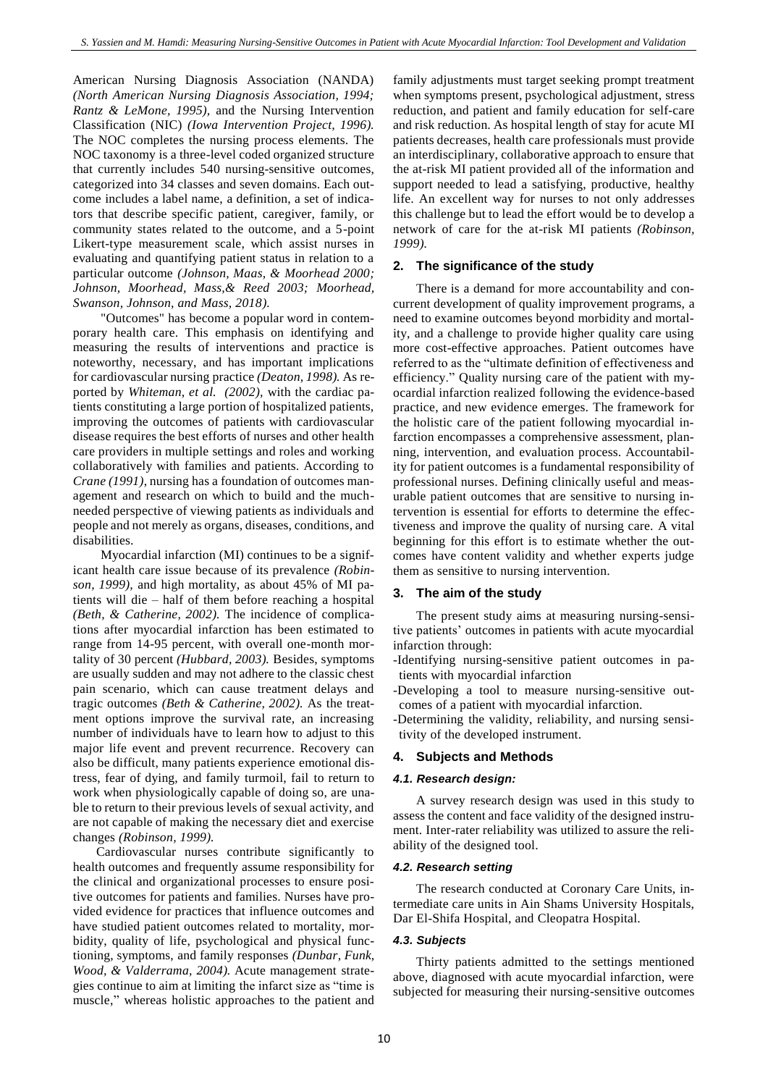American Nursing Diagnosis Association (NANDA) *(North American Nursing Diagnosis Association, 1994; Rantz & LeMone, 1995),* and the Nursing Intervention Classification (NIC) *(Iowa Intervention Project, 1996).* The NOC completes the nursing process elements. The NOC taxonomy is a three-level coded organized structure that currently includes 540 nursing-sensitive outcomes, categorized into 34 classes and seven domains. Each outcome includes a label name, a definition, a set of indicators that describe specific patient, caregiver, family, or community states related to the outcome, and a 5-point Likert-type measurement scale, which assist nurses in evaluating and quantifying patient status in relation to a particular outcome *(Johnson, Maas, & Moorhead 2000; Johnson, Moorhead, Mass,& Reed 2003; Moorhead, Swanson, Johnson, and Mass, 2018).*

"Outcomes" has become a popular word in contemporary health care. This emphasis on identifying and measuring the results of interventions and practice is noteworthy, necessary, and has important implications for cardiovascular nursing practice *(Deaton, 1998).* As reported by *Whiteman, et al. (2002),* with the cardiac patients constituting a large portion of hospitalized patients, improving the outcomes of patients with cardiovascular disease requires the best efforts of nurses and other health care providers in multiple settings and roles and working collaboratively with families and patients. According to *Crane (1991)*, nursing has a foundation of outcomes management and research on which to build and the muchneeded perspective of viewing patients as individuals and people and not merely as organs, diseases, conditions, and disabilities.

Myocardial infarction (MI) continues to be a significant health care issue because of its prevalence *(Robinson, 1999),* and high mortality, as about 45% of MI patients will die – half of them before reaching a hospital *(Beth, & Catherine, 2002).* The incidence of complications after myocardial infarction has been estimated to range from 14-95 percent, with overall one-month mortality of 30 percent *(Hubbard, 2003).* Besides, symptoms are usually sudden and may not adhere to the classic chest pain scenario, which can cause treatment delays and tragic outcomes *(Beth & Catherine, 2002).* As the treatment options improve the survival rate, an increasing number of individuals have to learn how to adjust to this major life event and prevent recurrence. Recovery can also be difficult, many patients experience emotional distress, fear of dying, and family turmoil, fail to return to work when physiologically capable of doing so, are unable to return to their previous levels of sexual activity, and are not capable of making the necessary diet and exercise changes *(Robinson, 1999).*

Cardiovascular nurses contribute significantly to health outcomes and frequently assume responsibility for the clinical and organizational processes to ensure positive outcomes for patients and families. Nurses have provided evidence for practices that influence outcomes and have studied patient outcomes related to mortality, morbidity, quality of life, psychological and physical functioning, symptoms, and family responses *(Dunbar, Funk, Wood, & Valderrama, 2004).* Acute management strategies continue to aim at limiting the infarct size as "time is muscle," whereas holistic approaches to the patient and family adjustments must target seeking prompt treatment when symptoms present, psychological adjustment, stress reduction, and patient and family education for self-care and risk reduction. As hospital length of stay for acute MI patients decreases, health care professionals must provide an interdisciplinary, collaborative approach to ensure that the at-risk MI patient provided all of the information and support needed to lead a satisfying, productive, healthy life. An excellent way for nurses to not only addresses this challenge but to lead the effort would be to develop a network of care for the at-risk MI patients *(Robinson, 1999).*

## **2. The significance of the study**

There is a demand for more accountability and concurrent development of quality improvement programs, a need to examine outcomes beyond morbidity and mortality, and a challenge to provide higher quality care using more cost-effective approaches. Patient outcomes have referred to as the "ultimate definition of effectiveness and efficiency." Quality nursing care of the patient with myocardial infarction realized following the evidence-based practice, and new evidence emerges. The framework for the holistic care of the patient following myocardial infarction encompasses a comprehensive assessment, planning, intervention, and evaluation process. Accountability for patient outcomes is a fundamental responsibility of professional nurses. Defining clinically useful and measurable patient outcomes that are sensitive to nursing intervention is essential for efforts to determine the effectiveness and improve the quality of nursing care. A vital beginning for this effort is to estimate whether the outcomes have content validity and whether experts judge them as sensitive to nursing intervention.

## **3. The aim of the study**

The present study aims at measuring nursing-sensitive patients' outcomes in patients with acute myocardial infarction through:

-Identifying nursing-sensitive patient outcomes in patients with myocardial infarction

-Developing a tool to measure nursing-sensitive outcomes of a patient with myocardial infarction.

-Determining the validity, reliability, and nursing sensitivity of the developed instrument.

#### **4. Subjects and Methods**

#### *4.1. Research design:*

A survey research design was used in this study to assess the content and face validity of the designed instrument. Inter-rater reliability was utilized to assure the reliability of the designed tool.

#### *4.2. Research setting*

The research conducted at Coronary Care Units, intermediate care units in Ain Shams University Hospitals, Dar El-Shifa Hospital, and Cleopatra Hospital.

#### *4.3. Subjects*

Thirty patients admitted to the settings mentioned above, diagnosed with acute myocardial infarction, were subjected for measuring their nursing-sensitive outcomes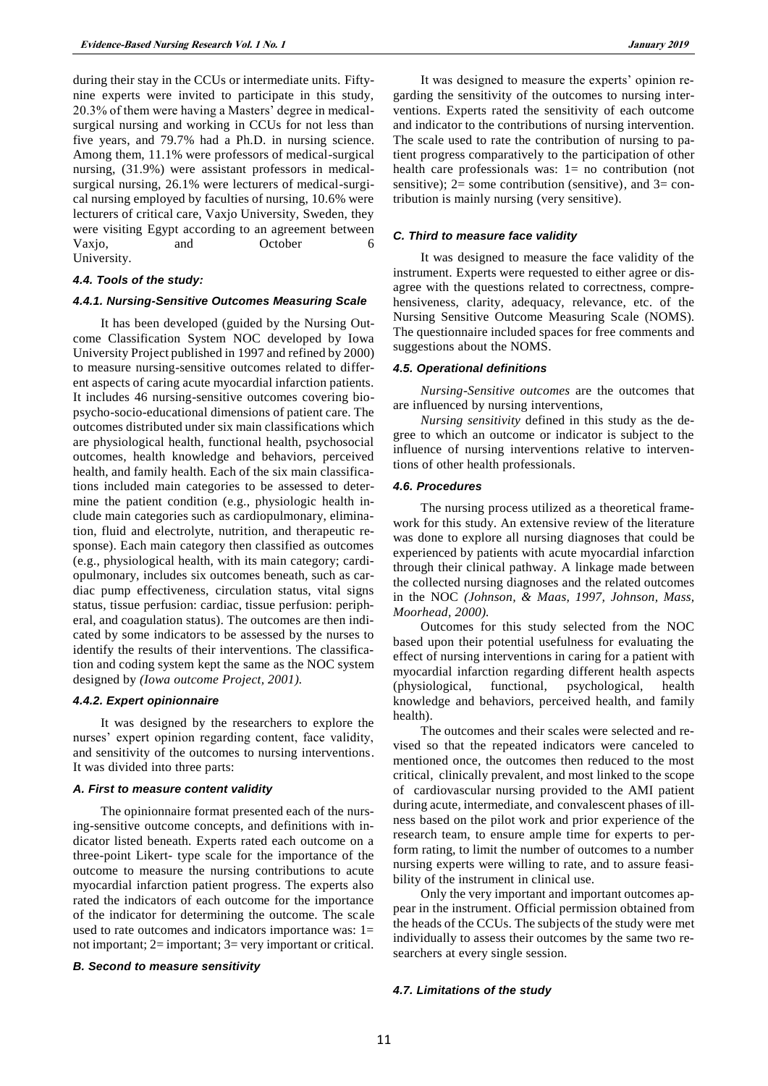during their stay in the CCUs or intermediate units. Fiftynine experts were invited to participate in this study, 20.3% of them were having a Masters' degree in medicalsurgical nursing and working in CCUs for not less than five years, and 79.7% had a Ph.D. in nursing science. Among them, 11.1% were professors of medical-surgical nursing, (31.9%) were assistant professors in medicalsurgical nursing, 26.1% were lecturers of medical-surgical nursing employed by faculties of nursing, 10.6% were lecturers of critical care, Vaxjo University, Sweden, they were visiting Egypt according to an agreement between Vaxjo, and October 6 University.

#### *4.4. Tools of the study:*

#### *4.4.1. Nursing-Sensitive Outcomes Measuring Scale*

It has been developed (guided by the Nursing Outcome Classification System NOC developed by Iowa University Project published in 1997 and refined by 2000) to measure nursing-sensitive outcomes related to different aspects of caring acute myocardial infarction patients. It includes 46 nursing-sensitive outcomes covering biopsycho-socio-educational dimensions of patient care. The outcomes distributed under six main classifications which are physiological health, functional health, psychosocial outcomes, health knowledge and behaviors, perceived health, and family health. Each of the six main classifications included main categories to be assessed to determine the patient condition (e.g., physiologic health include main categories such as cardiopulmonary, elimination, fluid and electrolyte, nutrition, and therapeutic response). Each main category then classified as outcomes (e.g., physiological health, with its main category; cardiopulmonary, includes six outcomes beneath, such as cardiac pump effectiveness, circulation status, vital signs status, tissue perfusion: cardiac, tissue perfusion: peripheral, and coagulation status). The outcomes are then indicated by some indicators to be assessed by the nurses to identify the results of their interventions. The classification and coding system kept the same as the NOC system designed by *(Iowa outcome Project, 2001).*

#### *4.4.2. Expert opinionnaire*

It was designed by the researchers to explore the nurses' expert opinion regarding content, face validity, and sensitivity of the outcomes to nursing interventions. It was divided into three parts:

#### *A. First to measure content validity*

The opinionnaire format presented each of the nursing-sensitive outcome concepts, and definitions with indicator listed beneath. Experts rated each outcome on a three-point Likert- type scale for the importance of the outcome to measure the nursing contributions to acute myocardial infarction patient progress. The experts also rated the indicators of each outcome for the importance of the indicator for determining the outcome. The scale used to rate outcomes and indicators importance was: 1= not important; 2= important; 3= very important or critical.

#### *B. Second to measure sensitivity*

It was designed to measure the experts' opinion regarding the sensitivity of the outcomes to nursing interventions. Experts rated the sensitivity of each outcome and indicator to the contributions of nursing intervention. The scale used to rate the contribution of nursing to patient progress comparatively to the participation of other health care professionals was: 1= no contribution (not sensitive);  $2=$  some contribution (sensitive), and  $3=$  contribution is mainly nursing (very sensitive).

#### *C. Third to measure face validity*

It was designed to measure the face validity of the instrument. Experts were requested to either agree or disagree with the questions related to correctness, comprehensiveness, clarity, adequacy, relevance, etc. of the Nursing Sensitive Outcome Measuring Scale (NOMS). The questionnaire included spaces for free comments and suggestions about the NOMS.

#### *4.5. Operational definitions*

*Nursing-Sensitive outcomes* are the outcomes that are influenced by nursing interventions,

*Nursing sensitivity* defined in this study as the degree to which an outcome or indicator is subject to the influence of nursing interventions relative to interventions of other health professionals.

## *4.6. Procedures*

The nursing process utilized as a theoretical framework for this study. An extensive review of the literature was done to explore all nursing diagnoses that could be experienced by patients with acute myocardial infarction through their clinical pathway. A linkage made between the collected nursing diagnoses and the related outcomes in the NOC *(Johnson, & Maas, 1997, Johnson, Mass, Moorhead, 2000).*

Outcomes for this study selected from the NOC based upon their potential usefulness for evaluating the effect of nursing interventions in caring for a patient with myocardial infarction regarding different health aspects (physiological, functional, psychological, health knowledge and behaviors, perceived health, and family health).

The outcomes and their scales were selected and revised so that the repeated indicators were canceled to mentioned once, the outcomes then reduced to the most critical, clinically prevalent, and most linked to the scope of cardiovascular nursing provided to the AMI patient during acute, intermediate, and convalescent phases of illness based on the pilot work and prior experience of the research team, to ensure ample time for experts to perform rating, to limit the number of outcomes to a number nursing experts were willing to rate, and to assure feasibility of the instrument in clinical use.

Only the very important and important outcomes appear in the instrument. Official permission obtained from the heads of the CCUs. The subjects of the study were met individually to assess their outcomes by the same two researchers at every single session.

#### *4.7. Limitations of the study*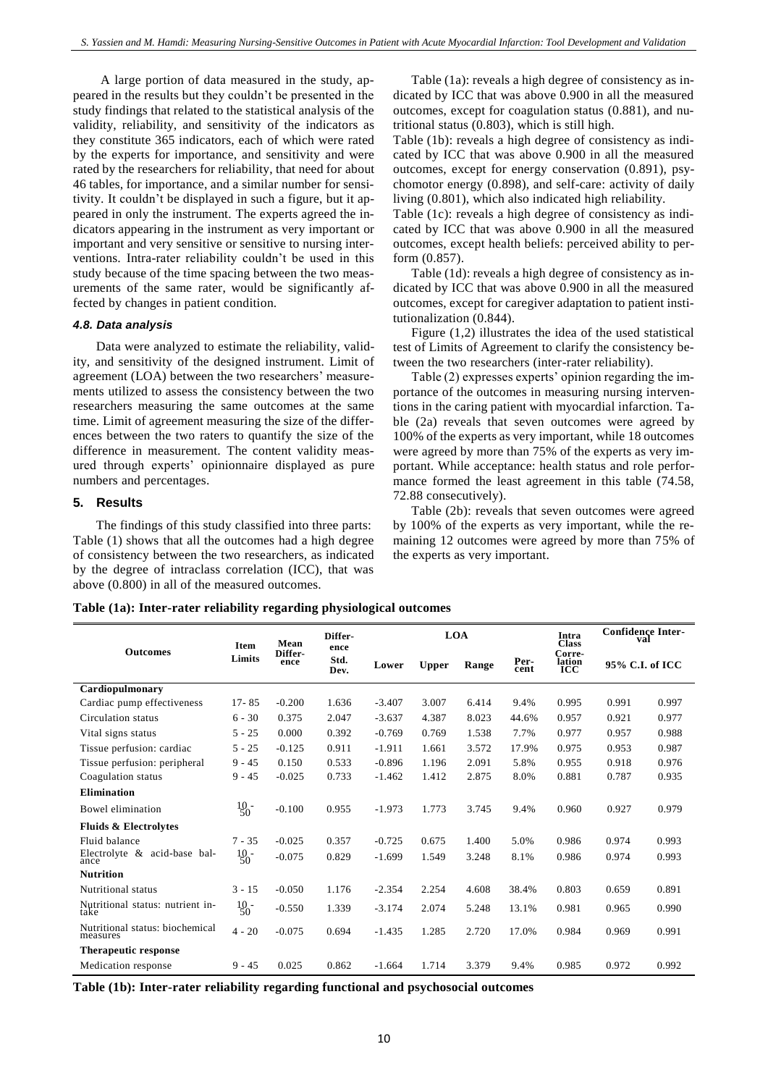A large portion of data measured in the study, appeared in the results but they couldn't be presented in the study findings that related to the statistical analysis of the validity, reliability, and sensitivity of the indicators as they constitute 365 indicators, each of which were rated by the experts for importance, and sensitivity and were rated by the researchers for reliability, that need for about 46 tables, for importance, and a similar number for sensitivity. It couldn't be displayed in such a figure, but it appeared in only the instrument. The experts agreed the indicators appearing in the instrument as very important or important and very sensitive or sensitive to nursing interventions. Intra-rater reliability couldn't be used in this study because of the time spacing between the two measurements of the same rater, would be significantly affected by changes in patient condition.

#### *4.8. Data analysis*

Data were analyzed to estimate the reliability, validity, and sensitivity of the designed instrument. Limit of agreement (LOA) between the two researchers' measurements utilized to assess the consistency between the two researchers measuring the same outcomes at the same time. Limit of agreement measuring the size of the differences between the two raters to quantify the size of the difference in measurement. The content validity measured through experts' opinionnaire displayed as pure numbers and percentages.

## **5. Results**

The findings of this study classified into three parts: Table (1) shows that all the outcomes had a high degree of consistency between the two researchers, as indicated by the degree of intraclass correlation (ICC), that was above (0.800) in all of the measured outcomes.

Table (1a): reveals a high degree of consistency as indicated by ICC that was above 0.900 in all the measured outcomes, except for coagulation status (0.881), and nutritional status (0.803), which is still high.

Table (1b): reveals a high degree of consistency as indicated by ICC that was above 0.900 in all the measured outcomes, except for energy conservation (0.891), psychomotor energy (0.898), and self-care: activity of daily living (0.801), which also indicated high reliability.

Table (1c): reveals a high degree of consistency as indicated by ICC that was above 0.900 in all the measured outcomes, except health beliefs: perceived ability to perform (0.857).

Table (1d): reveals a high degree of consistency as indicated by ICC that was above 0.900 in all the measured outcomes, except for caregiver adaptation to patient institutionalization (0.844).

Figure (1,2) illustrates the idea of the used statistical test of Limits of Agreement to clarify the consistency between the two researchers (inter-rater reliability).

Table (2) expresses experts' opinion regarding the importance of the outcomes in measuring nursing interventions in the caring patient with myocardial infarction. Table (2a) reveals that seven outcomes were agreed by 100% of the experts as very important, while 18 outcomes were agreed by more than 75% of the experts as very important. While acceptance: health status and role performance formed the least agreement in this table (74.58, 72.88 consecutively).

Table (2b): reveals that seven outcomes were agreed by 100% of the experts as very important, while the remaining 12 outcomes were agreed by more than 75% of the experts as very important.

|  |  | Table (1a): Inter-rater reliability regarding physiological outcomes |  |
|--|--|----------------------------------------------------------------------|--|
|  |  |                                                                      |  |

|                                             | Item            | Mean            | Differ-<br>ence |          |              | <b>LOA</b> |              | Intra<br><b>Class</b>          | <b>Confidence Inter-</b><br>val |       |
|---------------------------------------------|-----------------|-----------------|-----------------|----------|--------------|------------|--------------|--------------------------------|---------------------------------|-------|
| <b>Outcomes</b>                             | Limits          | Differ-<br>ence | Std.<br>Dev.    | Lower    | <b>Upper</b> | Range      | Per-<br>cent | Corre-<br>lation<br><b>ICC</b> | 95% C.I. of ICC                 |       |
| Cardiopulmonary                             |                 |                 |                 |          |              |            |              |                                |                                 |       |
| Cardiac pump effectiveness                  | $17 - 85$       | $-0.200$        | 1.636           | $-3.407$ | 3.007        | 6.414      | 9.4%         | 0.995                          | 0.991                           | 0.997 |
| Circulation status                          | $6 - 30$        | 0.375           | 2.047           | $-3.637$ | 4.387        | 8.023      | 44.6%        | 0.957                          | 0.921                           | 0.977 |
| Vital signs status                          | $5 - 25$        | 0.000           | 0.392           | $-0.769$ | 0.769        | 1.538      | 7.7%         | 0.977                          | 0.957                           | 0.988 |
| Tissue perfusion: cardiac                   | $5 - 25$        | $-0.125$        | 0.911           | $-1.911$ | 1.661        | 3.572      | 17.9%        | 0.975                          | 0.953                           | 0.987 |
| Tissue perfusion: peripheral                | $9 - 45$        | 0.150           | 0.533           | $-0.896$ | 1.196        | 2.091      | 5.8%         | 0.955                          | 0.918                           | 0.976 |
| Coagulation status                          | $9 - 45$        | $-0.025$        | 0.733           | $-1.462$ | 1.412        | 2.875      | 8.0%         | 0.881                          | 0.787                           | 0.935 |
| <b>Elimination</b>                          |                 |                 |                 |          |              |            |              |                                |                                 |       |
| Bowel elimination                           | $\frac{10}{50}$ | $-0.100$        | 0.955           | $-1.973$ | 1.773        | 3.745      | 9.4%         | 0.960                          | 0.927                           | 0.979 |
| <b>Fluids &amp; Electrolytes</b>            |                 |                 |                 |          |              |            |              |                                |                                 |       |
| Fluid balance                               | $7 - 35$        | $-0.025$        | 0.357           | $-0.725$ | 0.675        | 1.400      | 5.0%         | 0.986                          | 0.974                           | 0.993 |
| Electrolyte & acid-base bal-<br>ance        | $^{10}_{50}$    | $-0.075$        | 0.829           | $-1.699$ | 1.549        | 3.248      | 8.1%         | 0.986                          | 0.974                           | 0.993 |
| <b>Nutrition</b>                            |                 |                 |                 |          |              |            |              |                                |                                 |       |
| Nutritional status                          | $3 - 15$        | $-0.050$        | 1.176           | $-2.354$ | 2.254        | 4.608      | 38.4%        | 0.803                          | 0.659                           | 0.891 |
| Nutritional status: nutrient in-<br>take    | $\frac{10}{50}$ | $-0.550$        | 1.339           | $-3.174$ | 2.074        | 5.248      | 13.1%        | 0.981                          | 0.965                           | 0.990 |
| Nutritional status: biochemical<br>measures | $4 - 20$        | $-0.075$        | 0.694           | $-1.435$ | 1.285        | 2.720      | 17.0%        | 0.984                          | 0.969                           | 0.991 |
| <b>Therapeutic response</b>                 |                 |                 |                 |          |              |            |              |                                |                                 |       |
| Medication response                         | $9 - 45$        | 0.025           | 0.862           | $-1.664$ | 1.714        | 3.379      | 9.4%         | 0.985                          | 0.972                           | 0.992 |

**Table (1b): Inter-rater reliability regarding functional and psychosocial outcomes**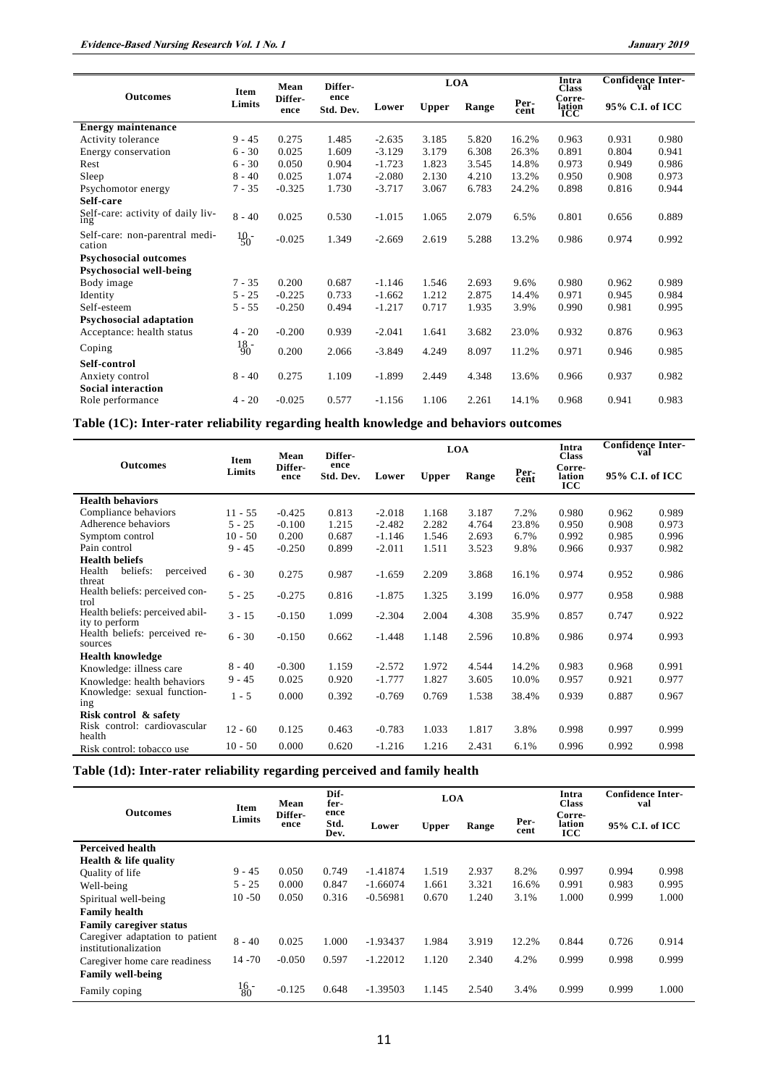|                                          | Item         | Mean            | Differ-           |          | <b>LOA</b>   |       |       |                         | <b>Confidence Inter-</b><br>val |       |
|------------------------------------------|--------------|-----------------|-------------------|----------|--------------|-------|-------|-------------------------|---------------------------------|-------|
| <b>Outcomes</b>                          | Limits       | Differ-<br>ence | ence<br>Std. Dev. | Lower    | <b>Upper</b> | Range | Per-  | Corre-<br>lation<br>ICC | 95% C.I. of ICC                 |       |
| <b>Energy maintenance</b>                |              |                 |                   |          |              |       |       |                         |                                 |       |
| Activity tolerance                       | $9 - 45$     | 0.275           | 1.485             | $-2.635$ | 3.185        | 5.820 | 16.2% | 0.963                   | 0.931                           | 0.980 |
| Energy conservation                      | $6 - 30$     | 0.025           | 1.609             | $-3.129$ | 3.179        | 6.308 | 26.3% | 0.891                   | 0.804                           | 0.941 |
| Rest                                     | $6 - 30$     | 0.050           | 0.904             | $-1.723$ | 1.823        | 3.545 | 14.8% | 0.973                   | 0.949                           | 0.986 |
| Sleep                                    | $8 - 40$     | 0.025           | 1.074             | $-2.080$ | 2.130        | 4.210 | 13.2% | 0.950                   | 0.908                           | 0.973 |
| Psychomotor energy                       | $7 - 35$     | $-0.325$        | 1.730             | $-3.717$ | 3.067        | 6.783 | 24.2% | 0.898                   | 0.816                           | 0.944 |
| Self-care                                |              |                 |                   |          |              |       |       |                         |                                 |       |
| Self-care: activity of daily liv-<br>1ng | $8 - 40$     | 0.025           | 0.530             | $-1.015$ | 1.065        | 2.079 | 6.5%  | 0.801                   | 0.656                           | 0.889 |
| Self-care: non-parentral medi-<br>cation | $^{10}_{50}$ | $-0.025$        | 1.349             | $-2.669$ | 2.619        | 5.288 | 13.2% | 0.986                   | 0.974                           | 0.992 |
| <b>Psychosocial outcomes</b>             |              |                 |                   |          |              |       |       |                         |                                 |       |
| Psychosocial well-being                  |              |                 |                   |          |              |       |       |                         |                                 |       |
| Body image                               | $7 - 35$     | 0.200           | 0.687             | $-1.146$ | 1.546        | 2.693 | 9.6%  | 0.980                   | 0.962                           | 0.989 |
| Identity                                 | $5 - 25$     | $-0.225$        | 0.733             | $-1.662$ | 1.212        | 2.875 | 14.4% | 0.971                   | 0.945                           | 0.984 |
| Self-esteem                              | $5 - 55$     | $-0.250$        | 0.494             | $-1.217$ | 0.717        | 1.935 | 3.9%  | 0.990                   | 0.981                           | 0.995 |
| <b>Psychosocial adaptation</b>           |              |                 |                   |          |              |       |       |                         |                                 |       |
| Acceptance: health status                | $4 - 20$     | $-0.200$        | 0.939             | $-2.041$ | 1.641        | 3.682 | 23.0% | 0.932                   | 0.876                           | 0.963 |
| Coping                                   | $^{18}_{90}$ | 0.200           | 2.066             | $-3.849$ | 4.249        | 8.097 | 11.2% | 0.971                   | 0.946                           | 0.985 |
| Self-control                             |              |                 |                   |          |              |       |       |                         |                                 |       |
| Anxiety control                          | $8 - 40$     | 0.275           | 1.109             | $-1.899$ | 2.449        | 4.348 | 13.6% | 0.966                   | 0.937                           | 0.982 |
| <b>Social interaction</b>                |              |                 |                   |          |              |       |       |                         |                                 |       |
| Role performance                         | $4 - 20$     | $-0.025$        | 0.577             | $-1.156$ | 1.106        | 2.261 | 14.1% | 0.968                   | 0.941                           | 0.983 |

**Table (1C): Inter-rater reliability regarding health knowledge and behaviors outcomes**

|                                                   |                           | Mean<br><b>Item</b> |                   | <b>LOA</b> |              |       |       | Differ-                        |                 |       | Intra<br><b>Class</b> | <b>Confidence Inter-</b><br>val |  |
|---------------------------------------------------|---------------------------|---------------------|-------------------|------------|--------------|-------|-------|--------------------------------|-----------------|-------|-----------------------|---------------------------------|--|
| <b>Outcomes</b>                                   | Differ-<br>Limits<br>ence |                     | ence<br>Std. Dev. | Lower      | <b>Upper</b> | Range | Per-  | Corre-<br>lation<br><b>ICC</b> | 95% C.I. of ICC |       |                       |                                 |  |
| <b>Health behaviors</b>                           |                           |                     |                   |            |              |       |       |                                |                 |       |                       |                                 |  |
| Compliance behaviors                              | $11 - 55$                 | $-0.425$            | 0.813             | $-2.018$   | 1.168        | 3.187 | 7.2%  | 0.980                          | 0.962           | 0.989 |                       |                                 |  |
| Adherence behaviors                               | $5 - 25$                  | $-0.100$            | 1.215             | $-2.482$   | 2.282        | 4.764 | 23.8% | 0.950                          | 0.908           | 0.973 |                       |                                 |  |
| Symptom control                                   | $10 - 50$                 | 0.200               | 0.687             | $-1.146$   | 1.546        | 2.693 | 6.7%  | 0.992                          | 0.985           | 0.996 |                       |                                 |  |
| Pain control                                      | $9 - 45$                  | $-0.250$            | 0.899             | $-2.011$   | 1.511        | 3.523 | 9.8%  | 0.966                          | 0.937           | 0.982 |                       |                                 |  |
| <b>Health beliefs</b>                             |                           |                     |                   |            |              |       |       |                                |                 |       |                       |                                 |  |
| Health<br>beliefs:<br>perceived<br>threat         | $6 - 30$                  | 0.275               | 0.987             | $-1.659$   | 2.209        | 3.868 | 16.1% | 0.974                          | 0.952           | 0.986 |                       |                                 |  |
| Health beliefs: perceived con-<br>trol            | $5 - 25$                  | $-0.275$            | 0.816             | $-1.875$   | 1.325        | 3.199 | 16.0% | 0.977                          | 0.958           | 0.988 |                       |                                 |  |
| Health beliefs: perceived abil-<br>ity to perform | $3 - 15$                  | $-0.150$            | 1.099             | $-2.304$   | 2.004        | 4.308 | 35.9% | 0.857                          | 0.747           | 0.922 |                       |                                 |  |
| Health beliefs: perceived re-<br>sources          | $6 - 30$                  | $-0.150$            | 0.662             | $-1.448$   | 1.148        | 2.596 | 10.8% | 0.986                          | 0.974           | 0.993 |                       |                                 |  |
| <b>Health knowledge</b>                           |                           |                     |                   |            |              |       |       |                                |                 |       |                       |                                 |  |
| Knowledge: illness care                           | $8 - 40$                  | $-0.300$            | 1.159             | $-2.572$   | 1.972        | 4.544 | 14.2% | 0.983                          | 0.968           | 0.991 |                       |                                 |  |
| Knowledge: health behaviors                       | $9 - 45$                  | 0.025               | 0.920             | $-1.777$   | 1.827        | 3.605 | 10.0% | 0.957                          | 0.921           | 0.977 |                       |                                 |  |
| Knowledge: sexual function-<br>ing                | $1 - 5$                   | 0.000               | 0.392             | $-0.769$   | 0.769        | 1.538 | 38.4% | 0.939                          | 0.887           | 0.967 |                       |                                 |  |
| Risk control & safety                             |                           |                     |                   |            |              |       |       |                                |                 |       |                       |                                 |  |
| Risk control: cardiovascular<br>health            | $12 - 60$                 | 0.125               | 0.463             | $-0.783$   | 1.033        | 1.817 | 3.8%  | 0.998                          | 0.997           | 0.999 |                       |                                 |  |
| Risk control: tobacco use                         | $10 - 50$                 | 0.000               | 0.620             | $-1.216$   | 1.216        | 2.431 | 6.1%  | 0.996                          | 0.992           | 0.998 |                       |                                 |  |

# **Table (1d): Inter-rater reliability regarding perceived and family health**

|                                                         | Item                      | Mean                                    | Dif-<br>fer- |            | <b>LOA</b>            |       |              | Intra<br><b>Class</b>          | <b>Confidence Inter-</b><br>val |       |
|---------------------------------------------------------|---------------------------|-----------------------------------------|--------------|------------|-----------------------|-------|--------------|--------------------------------|---------------------------------|-------|
| <b>Outcomes</b>                                         | Limits                    | ence<br>Differ-<br>Std.<br>ence<br>Dev. |              | Lower      | Range<br><b>Upper</b> |       | Per-<br>cent | Corre-<br>lation<br><b>ICC</b> | 95% C.I. of ICC                 |       |
| <b>Perceived health</b>                                 |                           |                                         |              |            |                       |       |              |                                |                                 |       |
| Health & life quality                                   |                           |                                         |              |            |                       |       |              |                                |                                 |       |
| Quality of life                                         | $9 - 45$                  | 0.050                                   | 0.749        | $-1.41874$ | 1.519                 | 2.937 | 8.2%         | 0.997                          | 0.994                           | 0.998 |
| Well-being                                              | $5 - 25$                  | 0.000                                   | 0.847        | $-1.66074$ | 1.661                 | 3.321 | 16.6%        | 0.991                          | 0.983                           | 0.995 |
| Spiritual well-being                                    | $10 - 50$                 | 0.050                                   | 0.316        | $-0.56981$ | 0.670                 | 1.240 | 3.1%         | 1.000                          | 0.999                           | 1.000 |
| <b>Family health</b>                                    |                           |                                         |              |            |                       |       |              |                                |                                 |       |
| <b>Family caregiver status</b>                          |                           |                                         |              |            |                       |       |              |                                |                                 |       |
| Caregiver adaptation to patient<br>institutionalization | $8 - 40$                  | 0.025                                   | 1.000        | $-1.93437$ | 1.984                 | 3.919 | 12.2%        | 0.844                          | 0.726                           | 0.914 |
| Caregiver home care readiness                           | $14 - 70$                 | $-0.050$                                | 0.597        | $-1.22012$ | 1.120                 | 2.340 | 4.2%         | 0.999                          | 0.998                           | 0.999 |
| <b>Family well-being</b>                                |                           |                                         |              |            |                       |       |              |                                |                                 |       |
| Family coping                                           | $^{16}_{80}$ <sup>-</sup> | $-0.125$                                | 0.648        | $-1.39503$ | 1.145                 | 2.540 | 3.4%         | 0.999                          | 0.999                           | 1.000 |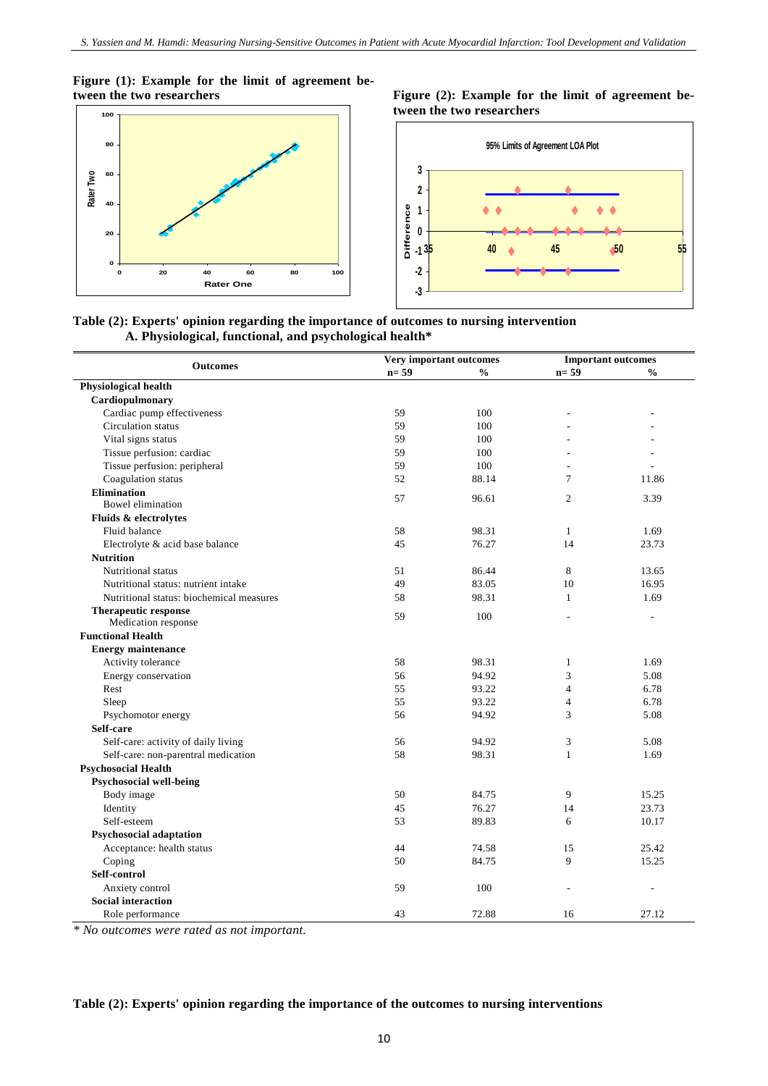**Figure (1): Example for the limit of agreement be-**



Figure (2): Example for the limit of agreement be**tween the two researchers**



**Table (2): Experts' opinion regarding the importance of outcomes to nursing intervention A. Physiological, functional, and psychological health\***

|                                          | Very important outcomes |               |                | <b>Important outcomes</b> |
|------------------------------------------|-------------------------|---------------|----------------|---------------------------|
| <b>Outcomes</b>                          | $n=59$                  | $\frac{0}{0}$ | $n=59$         | $\frac{0}{0}$             |
| <b>Physiological health</b>              |                         |               |                |                           |
| Cardiopulmonary                          |                         |               |                |                           |
| Cardiac pump effectiveness               | 59                      | 100           | $\overline{a}$ | $\overline{a}$            |
| Circulation status                       | 59                      | 100           |                |                           |
| Vital signs status                       | 59                      | 100           |                |                           |
| Tissue perfusion: cardiac                | 59                      | 100           |                |                           |
| Tissue perfusion: peripheral             | 59                      | 100           |                |                           |
| Coagulation status                       | 52                      | 88.14         | $\overline{7}$ | 11.86                     |
| <b>Elimination</b>                       |                         |               | $\overline{2}$ |                           |
| Bowel elimination                        | 57                      | 96.61         |                | 3.39                      |
| Fluids & electrolytes                    |                         |               |                |                           |
| Fluid balance                            | 58                      | 98.31         | $\mathbf{1}$   | 1.69                      |
| Electrolyte & acid base balance          | 45                      | 76.27         | 14             | 23.73                     |
| <b>Nutrition</b>                         |                         |               |                |                           |
| Nutritional status                       | 51                      | 86.44         | 8              | 13.65                     |
| Nutritional status: nutrient intake      | 49                      | 83.05         | 10             | 16.95                     |
| Nutritional status: biochemical measures | 58                      | 98.31         | $\mathbf{1}$   | 1.69                      |
| <b>Therapeutic response</b>              |                         |               |                |                           |
| Medication response                      | 59                      | 100           |                | $\overline{a}$            |
| <b>Functional Health</b>                 |                         |               |                |                           |
| <b>Energy maintenance</b>                |                         |               |                |                           |
| Activity tolerance                       | 58                      | 98.31         | $\mathbf{1}$   | 1.69                      |
| Energy conservation                      | 56                      | 94.92         | 3              | 5.08                      |
| Rest                                     | 55                      | 93.22         | $\overline{4}$ | 6.78                      |
| Sleep                                    | 55                      | 93.22         | $\overline{4}$ | 6.78                      |
| Psychomotor energy                       | 56                      | 94.92         | 3              | 5.08                      |
| Self-care                                |                         |               |                |                           |
| Self-care: activity of daily living      | 56                      | 94.92         | 3              | 5.08                      |
| Self-care: non-parentral medication      | 58                      | 98.31         | $\mathbf{1}$   | 1.69                      |
| <b>Psychosocial Health</b>               |                         |               |                |                           |
| Psychosocial well-being                  |                         |               |                |                           |
| Body image                               | 50                      | 84.75         | 9              | 15.25                     |
| Identity                                 | 45                      | 76.27         | 14             | 23.73                     |
| Self-esteem                              | 53                      | 89.83         | 6              | 10.17                     |
| Psychosocial adaptation                  |                         |               |                |                           |
| Acceptance: health status                | 44                      | 74.58         | 15             | 25.42                     |
| Coping                                   | 50                      | 84.75         | 9              | 15.25                     |
| Self-control                             |                         |               |                |                           |
| Anxiety control                          | 59                      | 100           |                |                           |
| <b>Social interaction</b>                |                         |               |                |                           |
| Role performance                         | 43                      | 72.88         | 16             | 27.12                     |

*\* No outcomes were rated as not important.*

## **Table (2): Experts' opinion regarding the importance of the outcomes to nursing interventions**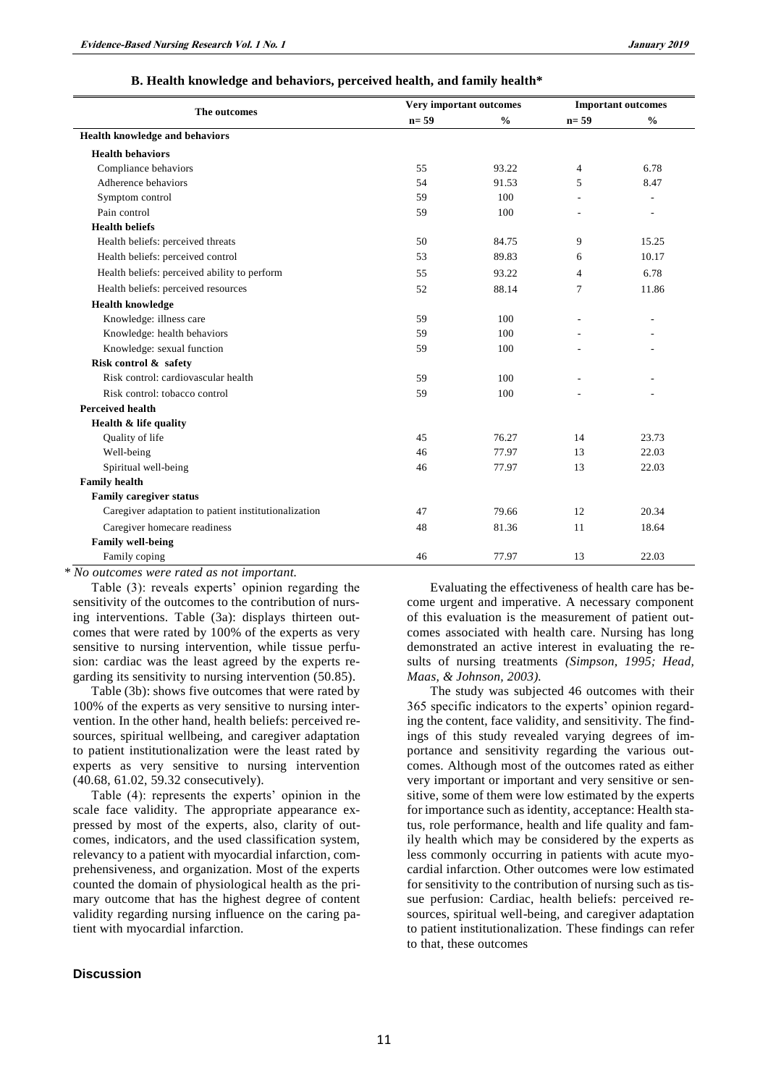#### **B. Health knowledge and behaviors, perceived health, and family health\***

|                                                      |        | <b>Very important outcomes</b> |                | <b>Important outcomes</b> |
|------------------------------------------------------|--------|--------------------------------|----------------|---------------------------|
| The outcomes                                         | $n=59$ | $\frac{0}{0}$                  | $n=59$         | $\frac{0}{0}$             |
| Health knowledge and behaviors                       |        |                                |                |                           |
| <b>Health behaviors</b>                              |        |                                |                |                           |
| Compliance behaviors                                 | 55     | 93.22                          | $\overline{4}$ | 6.78                      |
| Adherence behaviors                                  | 54     | 91.53                          | 5              | 8.47                      |
| Symptom control                                      | 59     | 100                            |                |                           |
| Pain control                                         | 59     | 100                            |                |                           |
| <b>Health beliefs</b>                                |        |                                |                |                           |
| Health beliefs: perceived threats                    | 50     | 84.75                          | 9              | 15.25                     |
| Health beliefs: perceived control                    | 53     | 89.83                          | 6              | 10.17                     |
| Health beliefs: perceived ability to perform         | 55     | 93.22                          | 4              | 6.78                      |
| Health beliefs: perceived resources                  | 52     | 88.14                          | 7              | 11.86                     |
| <b>Health knowledge</b>                              |        |                                |                |                           |
| Knowledge: illness care                              | 59     | 100                            |                |                           |
| Knowledge: health behaviors                          | 59     | 100                            |                |                           |
| Knowledge: sexual function                           | 59     | 100                            |                |                           |
| Risk control & safety                                |        |                                |                |                           |
| Risk control: cardiovascular health                  | 59     | 100                            |                |                           |
| Risk control: tobacco control                        | 59     | 100                            |                |                           |
| <b>Perceived health</b>                              |        |                                |                |                           |
| Health & life quality                                |        |                                |                |                           |
| Quality of life                                      | 45     | 76.27                          | 14             | 23.73                     |
| Well-being                                           | 46     | 77.97                          | 13             | 22.03                     |
| Spiritual well-being                                 | 46     | 77.97                          | 13             | 22.03                     |
| <b>Family health</b>                                 |        |                                |                |                           |
| <b>Family caregiver status</b>                       |        |                                |                |                           |
| Caregiver adaptation to patient institutionalization | 47     | 79.66                          | 12             | 20.34                     |
| Caregiver homecare readiness                         | 48     | 81.36                          | 11             | 18.64                     |
| <b>Family well-being</b>                             |        |                                |                |                           |
| Family coping                                        | 46     | 77.97                          | 13             | 22.03                     |

*\* No outcomes were rated as not important.*

Table (3): reveals experts' opinion regarding the sensitivity of the outcomes to the contribution of nursing interventions. Table (3a): displays thirteen outcomes that were rated by 100% of the experts as very sensitive to nursing intervention, while tissue perfusion: cardiac was the least agreed by the experts regarding its sensitivity to nursing intervention (50.85).

Table (3b): shows five outcomes that were rated by 100% of the experts as very sensitive to nursing intervention. In the other hand, health beliefs: perceived resources, spiritual wellbeing, and caregiver adaptation to patient institutionalization were the least rated by experts as very sensitive to nursing intervention (40.68, 61.02, 59.32 consecutively).

Table (4): represents the experts' opinion in the scale face validity. The appropriate appearance expressed by most of the experts, also, clarity of outcomes, indicators, and the used classification system, relevancy to a patient with myocardial infarction, comprehensiveness, and organization. Most of the experts counted the domain of physiological health as the primary outcome that has the highest degree of content validity regarding nursing influence on the caring patient with myocardial infarction.

## **Discussion**

Evaluating the effectiveness of health care has become urgent and imperative. A necessary component of this evaluation is the measurement of patient outcomes associated with health care. Nursing has long demonstrated an active interest in evaluating the results of nursing treatments *(Simpson, 1995; Head, Maas, & Johnson, 2003).*

The study was subjected 46 outcomes with their 365 specific indicators to the experts' opinion regarding the content, face validity, and sensitivity. The findings of this study revealed varying degrees of importance and sensitivity regarding the various outcomes. Although most of the outcomes rated as either very important or important and very sensitive or sensitive, some of them were low estimated by the experts for importance such as identity, acceptance: Health status, role performance, health and life quality and family health which may be considered by the experts as less commonly occurring in patients with acute myocardial infarction. Other outcomes were low estimated for sensitivity to the contribution of nursing such as tissue perfusion: Cardiac, health beliefs: perceived resources, spiritual well-being, and caregiver adaptation to patient institutionalization. These findings can refer to that, these outcomes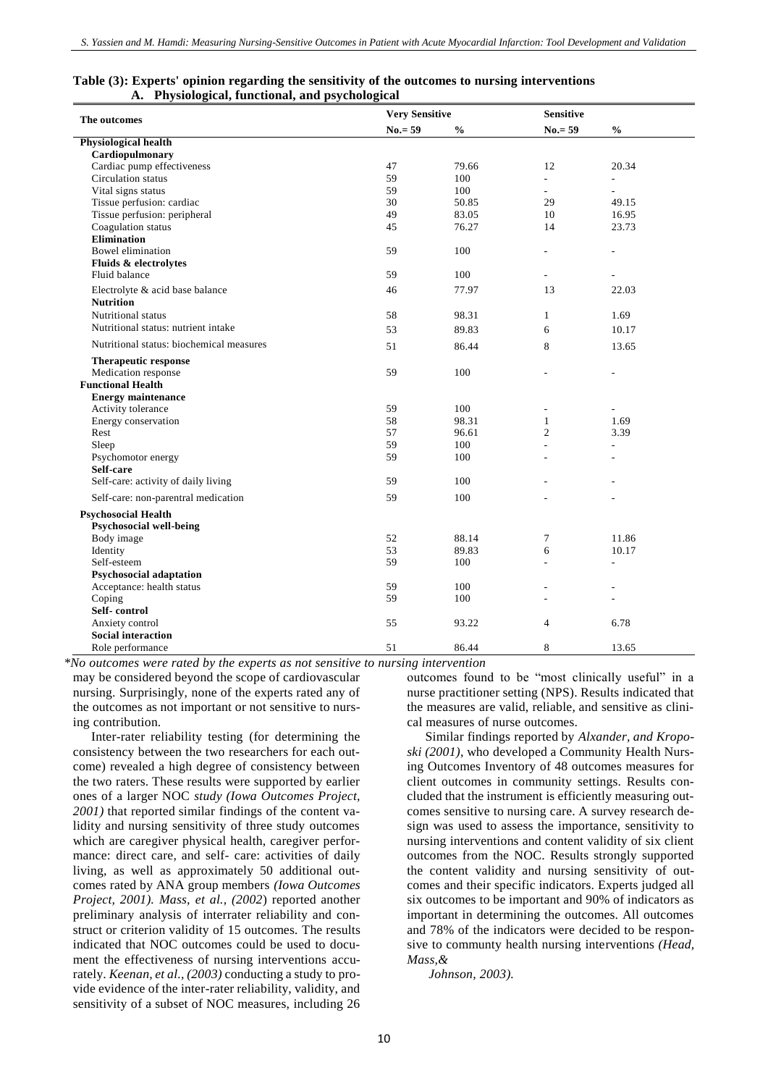| The outcomes                             | <b>Very Sensitive</b> |               | <b>Sensitive</b>    |                             |
|------------------------------------------|-----------------------|---------------|---------------------|-----------------------------|
|                                          | $No.=59$              | $\frac{0}{0}$ | $No = 59$           | $\frac{0}{0}$               |
| <b>Physiological health</b>              |                       |               |                     |                             |
| Cardiopulmonary                          |                       |               |                     |                             |
| Cardiac pump effectiveness               | 47                    | 79.66         | 12                  | 20.34                       |
| Circulation status                       | 59                    | 100           | $\mathcal{L}^{\pm}$ | $\overline{\phantom{a}}$    |
| Vital signs status                       | 59                    | 100           | $\overline{a}$      | $\mathcal{L}^{\mathcal{L}}$ |
| Tissue perfusion: cardiac                | 30                    | 50.85         | 29                  | 49.15                       |
| Tissue perfusion: peripheral             | 49                    | 83.05         | 10                  | 16.95                       |
| Coagulation status                       | 45                    | 76.27         | 14                  | 23.73                       |
| <b>Elimination</b>                       |                       |               |                     |                             |
| Bowel elimination                        | 59                    | 100           | $\overline{a}$      | L.                          |
| Fluids & electrolytes                    |                       |               |                     |                             |
| Fluid balance                            | 59                    | 100           |                     |                             |
| Electrolyte & acid base balance          | 46                    | 77.97         | 13                  | 22.03                       |
| <b>Nutrition</b>                         |                       |               |                     |                             |
| Nutritional status                       | 58                    | 98.31         | $\mathbf{1}$        | 1.69                        |
| Nutritional status: nutrient intake      |                       |               |                     |                             |
|                                          | 53                    | 89.83         | 6                   | 10.17                       |
| Nutritional status: biochemical measures | 51                    | 86.44         | 8                   | 13.65                       |
| <b>Therapeutic response</b>              |                       |               |                     |                             |
| Medication response                      | 59                    | 100           |                     |                             |
| <b>Functional Health</b>                 |                       |               |                     |                             |
| <b>Energy maintenance</b>                |                       |               |                     |                             |
| Activity tolerance                       | 59                    | 100           |                     |                             |
| Energy conservation                      | 58                    | 98.31         | $\mathbf{1}$        | 1.69                        |
| Rest                                     | 57                    | 96.61         | $\overline{c}$      | 3.39                        |
| Sleep                                    | 59                    | 100           | $\overline{a}$      | $\overline{\phantom{a}}$    |
| Psychomotor energy                       | 59                    | 100           |                     | ÷                           |
| Self-care                                |                       |               |                     |                             |
| Self-care: activity of daily living      | 59                    | 100           |                     |                             |
| Self-care: non-parentral medication      | 59                    | 100           |                     |                             |
|                                          |                       |               |                     |                             |
| <b>Psychosocial Health</b>               |                       |               |                     |                             |
| Psychosocial well-being                  |                       |               |                     |                             |
| Body image                               | 52                    | 88.14         | 7                   | 11.86                       |
| Identity                                 | 53                    | 89.83         | 6                   | 10.17                       |
| Self-esteem                              | 59                    | 100           |                     | ÷.                          |
| <b>Psychosocial adaptation</b>           |                       |               |                     |                             |
| Acceptance: health status                | 59                    | 100           |                     |                             |
| Coping                                   | 59                    | 100           |                     |                             |
| Self-control                             |                       |               |                     |                             |
| Anxiety control                          | 55                    | 93.22         | 4                   | 6.78                        |
| <b>Social interaction</b>                |                       |               |                     |                             |
| Role performance                         | 51                    | 86.44         | 8                   | 13.65                       |

#### **Table (3): Experts' opinion regarding the sensitivity of the outcomes to nursing interventions A. Physiological, functional, and psychological**

*\*No outcomes were rated by the experts as not sensitive to nursing intervention*

may be considered beyond the scope of cardiovascular nursing. Surprisingly, none of the experts rated any of the outcomes as not important or not sensitive to nursing contribution.

Inter-rater reliability testing (for determining the consistency between the two researchers for each outcome) revealed a high degree of consistency between the two raters. These results were supported by earlier ones of a larger NOC *study (Iowa Outcomes Project, 2001)* that reported similar findings of the content validity and nursing sensitivity of three study outcomes which are caregiver physical health, caregiver performance: direct care, and self- care: activities of daily living, as well as approximately 50 additional outcomes rated by ANA group members *(Iowa Outcomes Project, 2001). Mass, et al., (2002*) reported another preliminary analysis of interrater reliability and construct or criterion validity of 15 outcomes*.* The results indicated that NOC outcomes could be used to document the effectiveness of nursing interventions accurately. *Keenan, et al., (2003)* conducting a study to provide evidence of the inter-rater reliability, validity, and sensitivity of a subset of NOC measures, including 26

outcomes found to be "most clinically useful" in a nurse practitioner setting (NPS). Results indicated that the measures are valid, reliable, and sensitive as clinical measures of nurse outcomes.

Similar findings reported by *Alxander, and Kroposki (2001)*, who developed a Community Health Nursing Outcomes Inventory of 48 outcomes measures for client outcomes in community settings. Results concluded that the instrument is efficiently measuring outcomes sensitive to nursing care. A survey research design was used to assess the importance, sensitivity to nursing interventions and content validity of six client outcomes from the NOC. Results strongly supported the content validity and nursing sensitivity of outcomes and their specific indicators. Experts judged all six outcomes to be important and 90% of indicators as important in determining the outcomes. All outcomes and 78% of the indicators were decided to be responsive to communty health nursing interventions *(Head, Mass,&*

*Johnson, 2003).*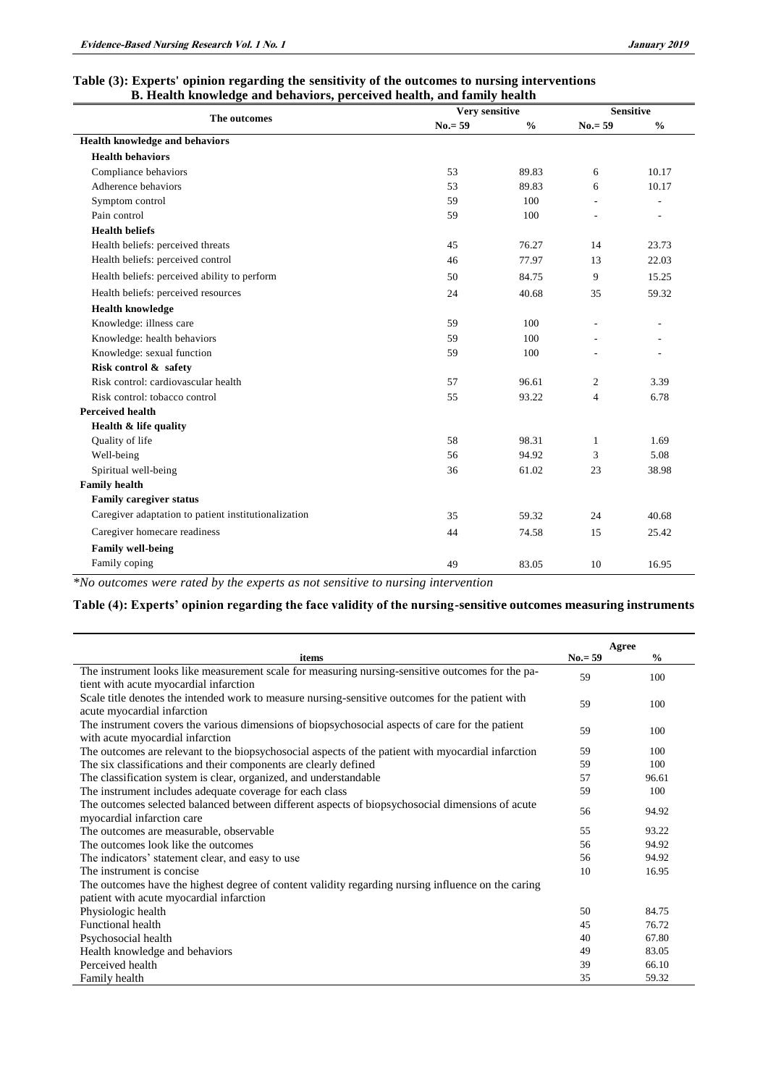## **Table (3): Experts' opinion regarding the sensitivity of the outcomes to nursing interventions B. Health knowledge and behaviors, perceived health, and family health**

|                                                      | Very sensitive | <b>Sensitive</b> |                |               |
|------------------------------------------------------|----------------|------------------|----------------|---------------|
| The outcomes                                         | $No = 59$      | $\frac{0}{0}$    | $No.= 59$      | $\frac{0}{0}$ |
| Health knowledge and behaviors                       |                |                  |                |               |
| <b>Health behaviors</b>                              |                |                  |                |               |
| Compliance behaviors                                 | 53             | 89.83            | 6              | 10.17         |
| Adherence behaviors                                  | 53             | 89.83            | 6              | 10.17         |
| Symptom control                                      | 59             | 100              | L,             |               |
| Pain control                                         | 59             | 100              |                |               |
| <b>Health beliefs</b>                                |                |                  |                |               |
| Health beliefs: perceived threats                    | 45             | 76.27            | 14             | 23.73         |
| Health beliefs: perceived control                    | 46             | 77.97            | 13             | 22.03         |
| Health beliefs: perceived ability to perform         | 50             | 84.75            | 9              | 15.25         |
| Health beliefs: perceived resources                  | 24             | 40.68            | 35             | 59.32         |
| <b>Health knowledge</b>                              |                |                  |                |               |
| Knowledge: illness care                              | 59             | 100              |                |               |
| Knowledge: health behaviors                          | 59             | 100              |                |               |
| Knowledge: sexual function                           | 59             | 100              |                |               |
| Risk control & safety                                |                |                  |                |               |
| Risk control: cardiovascular health                  | 57             | 96.61            | $\overline{2}$ | 3.39          |
| Risk control: tobacco control                        | 55             | 93.22            | $\overline{4}$ | 6.78          |
| <b>Perceived health</b>                              |                |                  |                |               |
| Health & life quality                                |                |                  |                |               |
| Quality of life                                      | 58             | 98.31            | 1              | 1.69          |
| Well-being                                           | 56             | 94.92            | 3              | 5.08          |
| Spiritual well-being                                 | 36             | 61.02            | 23             | 38.98         |
| <b>Family health</b>                                 |                |                  |                |               |
| <b>Family caregiver status</b>                       |                |                  |                |               |
| Caregiver adaptation to patient institutionalization | 35             | 59.32            | 24             | 40.68         |
| Caregiver homecare readiness                         | 44             | 74.58            | 15             | 25.42         |
| <b>Family well-being</b>                             |                |                  |                |               |
| Family coping                                        | 49             | 83.05            | 10             | 16.95         |

*\*No outcomes were rated by the experts as not sensitive to nursing intervention*

## **Table (4): Experts' opinion regarding the face validity of the nursing-sensitive outcomes measuring instruments**

|                                                                                                    | Agree     |               |
|----------------------------------------------------------------------------------------------------|-----------|---------------|
| items                                                                                              | $No.= 59$ | $\frac{0}{0}$ |
| The instrument looks like measurement scale for measuring nursing-sensitive outcomes for the pa-   | 59        | 100           |
| tient with acute myocardial infarction                                                             |           |               |
| Scale title denotes the intended work to measure nursing-sensitive outcomes for the patient with   | 59        | 100           |
| acute myocardial infarction                                                                        |           |               |
| The instrument covers the various dimensions of biopsychosocial aspects of care for the patient    | 59        | 100           |
| with acute myocardial infarction                                                                   |           |               |
| The outcomes are relevant to the biopsychosocial aspects of the patient with myocardial infarction | 59        | 100           |
| The six classifications and their components are clearly defined                                   | 59        | 100           |
| The classification system is clear, organized, and understandable                                  | 57        | 96.61         |
| The instrument includes adequate coverage for each class                                           | 59        | 100           |
| The outcomes selected balanced between different aspects of biopsychosocial dimensions of acute    | 56        | 94.92         |
| myocardial infarction care                                                                         |           |               |
| The outcomes are measurable, observable                                                            | 55        | 93.22         |
| The outcomes look like the outcomes                                                                | 56        | 94.92         |
| The indicators' statement clear, and easy to use                                                   | 56        | 94.92         |
| The instrument is concise.                                                                         | 10        | 16.95         |
| The outcomes have the highest degree of content validity regarding nursing influence on the caring |           |               |
| patient with acute myocardial infarction                                                           |           |               |
| Physiologic health                                                                                 | 50        | 84.75         |
| <b>Functional health</b>                                                                           | 45        | 76.72         |
| Psychosocial health                                                                                | 40        | 67.80         |
| Health knowledge and behaviors                                                                     | 49        | 83.05         |
| Perceived health                                                                                   | 39        | 66.10         |
| Family health                                                                                      | 35        | 59.32         |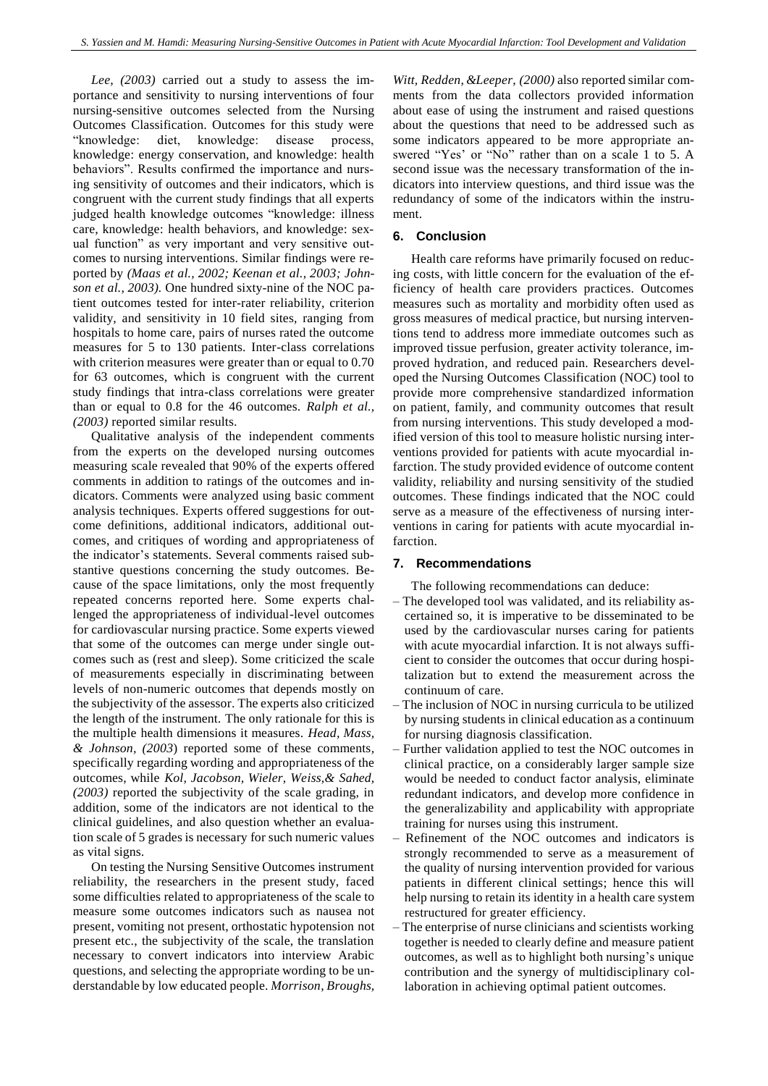*Lee, (2003)* carried out a study to assess the importance and sensitivity to nursing interventions of four nursing-sensitive outcomes selected from the Nursing Outcomes Classification. Outcomes for this study were "knowledge: diet, knowledge: disease process, knowledge: energy conservation, and knowledge: health behaviors". Results confirmed the importance and nursing sensitivity of outcomes and their indicators, which is congruent with the current study findings that all experts judged health knowledge outcomes "knowledge: illness care, knowledge: health behaviors, and knowledge: sexual function" as very important and very sensitive outcomes to nursing interventions. Similar findings were reported by *(Maas et al., 2002; Keenan et al., 2003; Johnson et al., 2003).* One hundred sixty-nine of the NOC patient outcomes tested for inter-rater reliability, criterion validity, and sensitivity in 10 field sites, ranging from hospitals to home care, pairs of nurses rated the outcome measures for 5 to 130 patients. Inter-class correlations with criterion measures were greater than or equal to  $0.70$ for 63 outcomes, which is congruent with the current study findings that intra-class correlations were greater than or equal to 0.8 for the 46 outcomes. *Ralph et al., (2003)* reported similar results.

Qualitative analysis of the independent comments from the experts on the developed nursing outcomes measuring scale revealed that 90% of the experts offered comments in addition to ratings of the outcomes and indicators. Comments were analyzed using basic comment analysis techniques. Experts offered suggestions for outcome definitions, additional indicators, additional outcomes, and critiques of wording and appropriateness of the indicator's statements. Several comments raised substantive questions concerning the study outcomes. Because of the space limitations, only the most frequently repeated concerns reported here. Some experts challenged the appropriateness of individual-level outcomes for cardiovascular nursing practice. Some experts viewed that some of the outcomes can merge under single outcomes such as (rest and sleep). Some criticized the scale of measurements especially in discriminating between levels of non-numeric outcomes that depends mostly on the subjectivity of the assessor. The experts also criticized the length of the instrument. The only rationale for this is the multiple health dimensions it measures. *Head, Mass, & Johnson, (2003*) reported some of these comments*,* specifically regarding wording and appropriateness of the outcomes, while *Kol, Jacobson, Wieler, Weiss,& Sahed, (2003)* reported the subjectivity of the scale grading, in addition, some of the indicators are not identical to the clinical guidelines, and also question whether an evaluation scale of 5 grades is necessary for such numeric values as vital signs.

On testing the Nursing Sensitive Outcomes instrument reliability, the researchers in the present study, faced some difficulties related to appropriateness of the scale to measure some outcomes indicators such as nausea not present, vomiting not present, orthostatic hypotension not present etc., the subjectivity of the scale, the translation necessary to convert indicators into interview Arabic questions, and selecting the appropriate wording to be understandable by low educated people. *Morrison, Broughs,* 

*Witt, Redden, &Leeper, (2000)* also reported similar comments from the data collectors provided information about ease of using the instrument and raised questions about the questions that need to be addressed such as some indicators appeared to be more appropriate answered "Yes' or "No" rather than on a scale 1 to 5. A second issue was the necessary transformation of the indicators into interview questions, and third issue was the redundancy of some of the indicators within the instrument.

## **6. Conclusion**

Health care reforms have primarily focused on reducing costs, with little concern for the evaluation of the efficiency of health care providers practices. Outcomes measures such as mortality and morbidity often used as gross measures of medical practice, but nursing interventions tend to address more immediate outcomes such as improved tissue perfusion, greater activity tolerance, improved hydration, and reduced pain. Researchers developed the Nursing Outcomes Classification (NOC) tool to provide more comprehensive standardized information on patient, family, and community outcomes that result from nursing interventions. This study developed a modified version of this tool to measure holistic nursing interventions provided for patients with acute myocardial infarction. The study provided evidence of outcome content validity, reliability and nursing sensitivity of the studied outcomes. These findings indicated that the NOC could serve as a measure of the effectiveness of nursing interventions in caring for patients with acute myocardial infarction.

#### **7. Recommendations**

The following recommendations can deduce:

- The developed tool was validated, and its reliability ascertained so, it is imperative to be disseminated to be used by the cardiovascular nurses caring for patients with acute myocardial infarction. It is not always sufficient to consider the outcomes that occur during hospitalization but to extend the measurement across the continuum of care.
- The inclusion of NOC in nursing curricula to be utilized by nursing students in clinical education as a continuum for nursing diagnosis classification.
- Further validation applied to test the NOC outcomes in clinical practice, on a considerably larger sample size would be needed to conduct factor analysis, eliminate redundant indicators, and develop more confidence in the generalizability and applicability with appropriate training for nurses using this instrument.
- Refinement of the NOC outcomes and indicators is strongly recommended to serve as a measurement of the quality of nursing intervention provided for various patients in different clinical settings; hence this will help nursing to retain its identity in a health care system restructured for greater efficiency.
- The enterprise of nurse clinicians and scientists working together is needed to clearly define and measure patient outcomes, as well as to highlight both nursing's unique contribution and the synergy of multidisciplinary collaboration in achieving optimal patient outcomes.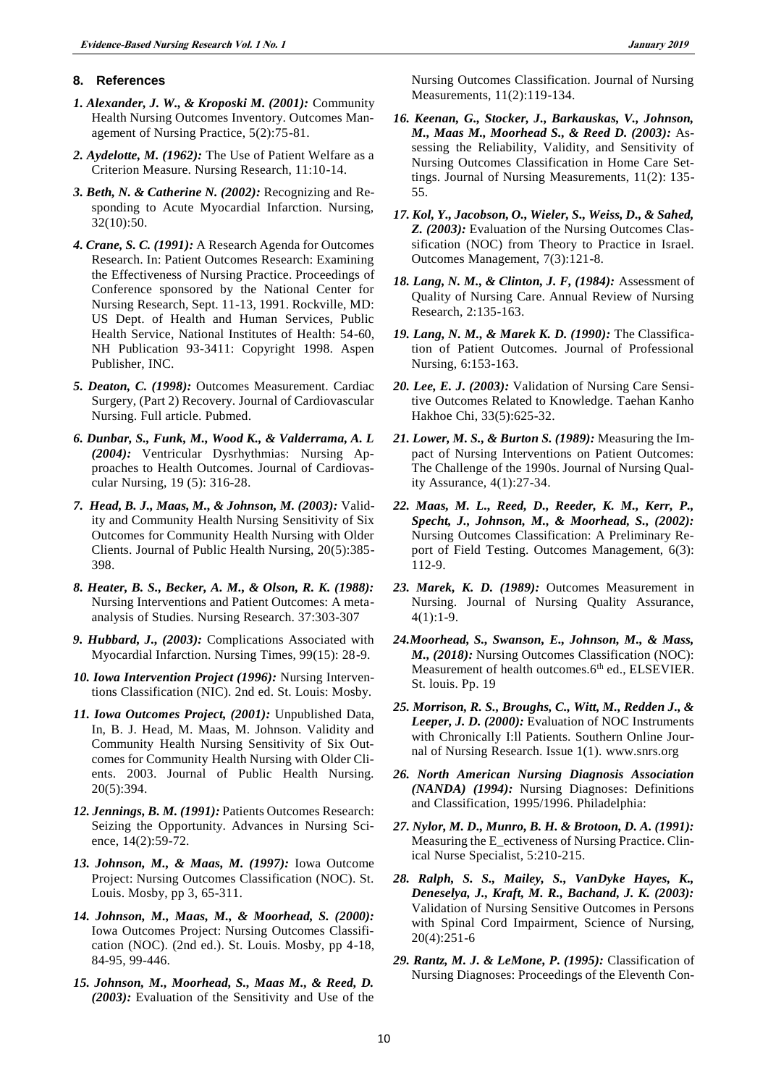#### **8. References**

- *1. Alexander, J. W., & Kroposki M. (2001):* Community Health Nursing Outcomes Inventory. Outcomes Management of Nursing Practice, 5(2):75-81.
- *2. Aydelotte, M. (1962):* The Use of Patient Welfare as a Criterion Measure. Nursing Research, 11:10-14.
- *3. Beth, N. & Catherine N. (2002):* Recognizing and Responding to Acute Myocardial Infarction. Nursing, 32(10):50.
- *4. Crane, S. C. (1991):* A Research Agenda for Outcomes Research. In: Patient Outcomes Research: Examining the Effectiveness of Nursing Practice. Proceedings of Conference sponsored by the National Center for Nursing Research, Sept. 11-13, 1991. Rockville, MD: US Dept. of Health and Human Services, Public Health Service, National Institutes of Health: 54-60, NH Publication 93-3411: Copyright 1998. Aspen Publisher, INC.
- *5. Deaton, C. (1998):* Outcomes Measurement. Cardiac Surgery, (Part 2) Recovery. Journal of Cardiovascular Nursing. Full article. Pubmed.
- *6. Dunbar, S., Funk, M., Wood K., & Valderrama, A. L (2004):* Ventricular Dysrhythmias: Nursing Approaches to Health Outcomes. Journal of Cardiovascular Nursing, 19 (5): 316-28.
- *7. Head, B. J., Maas, M., & Johnson, M. (2003):* Validity and Community Health Nursing Sensitivity of Six Outcomes for Community Health Nursing with Older Clients. Journal of Public Health Nursing, 20(5):385- 398.
- *8. Heater, B. S., Becker, A. M., & Olson, R. K. (1988):* Nursing Interventions and Patient Outcomes: A metaanalysis of Studies. Nursing Research. 37:303-307
- *9. Hubbard, J., (2003):* Complications Associated with Myocardial Infarction. Nursing Times, 99(15): 28-9.
- *10. Iowa Intervention Project (1996):* Nursing Interventions Classification (NIC). 2nd ed. St. Louis: Mosby.
- *11. Iowa Outcomes Project, (2001):* Unpublished Data, In, B. J. Head, M. Maas, M. Johnson. Validity and Community Health Nursing Sensitivity of Six Outcomes for Community Health Nursing with Older Clients. 2003. Journal of Public Health Nursing. 20(5):394.
- *12. Jennings, B. M. (1991):* Patients Outcomes Research: Seizing the Opportunity. Advances in Nursing Science, 14(2):59-72.
- *13. Johnson, M., & Maas, M. (1997):* Iowa Outcome Project: Nursing Outcomes Classification (NOC). St. Louis. Mosby, pp 3, 65-311.
- *14. Johnson, M., Maas, M., & Moorhead, S. (2000):*  Iowa Outcomes Project: Nursing Outcomes Classification (NOC). (2nd ed.). St. Louis. Mosby, pp 4-18, 84-95, 99-446.
- *15. Johnson, M., Moorhead, S., Maas M., & Reed, D. (2003):* Evaluation of the Sensitivity and Use of the

Nursing Outcomes Classification. Journal of Nursing Measurements, 11(2):119-134.

- *16. Keenan, G., Stocker, J., Barkauskas, V., Johnson, M., Maas M., Moorhead S., & Reed D. (2003):* Assessing the Reliability, Validity, and Sensitivity of Nursing Outcomes Classification in Home Care Settings. Journal of Nursing Measurements, 11(2): 135- 55.
- *17. Kol, Y., Jacobson, O., Wieler, S., Weiss, D., & Sahed, Z. (2003):* Evaluation of the Nursing Outcomes Classification (NOC) from Theory to Practice in Israel. Outcomes Management, 7(3):121-8.
- *18. Lang, N. M., & Clinton, J. F, (1984):* Assessment of Quality of Nursing Care. Annual Review of Nursing Research, 2:135-163.
- *19. Lang, N. M., & Marek K. D. (1990):* The Classification of Patient Outcomes. Journal of Professional Nursing, 6:153-163.
- *20. Lee, E. J. (2003):* Validation of Nursing Care Sensitive Outcomes Related to Knowledge. Taehan Kanho Hakhoe Chi, 33(5):625-32.
- *21. Lower, M. S., & Burton S. (1989):* Measuring the Impact of Nursing Interventions on Patient Outcomes: The Challenge of the 1990s. Journal of Nursing Quality Assurance, 4(1):27-34.
- *22. Maas, M. L., Reed, D., Reeder, K. M., Kerr, P., Specht, J., Johnson, M., & Moorhead, S., (2002):* Nursing Outcomes Classification: A Preliminary Report of Field Testing. Outcomes Management, 6(3): 112-9.
- *23. Marek, K. D. (1989):* Outcomes Measurement in Nursing. Journal of Nursing Quality Assurance, 4(1):1-9.
- *24.Moorhead, S., Swanson, E., Johnson, M., & Mass, M., (2018):* Nursing Outcomes Classification (NOC): Measurement of health outcomes.6<sup>th</sup> ed., ELSEVIER. St. louis. Pp. 19
- *25. Morrison, R. S., Broughs, C., Witt, M., Redden J., & Leeper, J. D. (2000):* Evaluation of NOC Instruments with Chronically I:ll Patients. Southern Online Journal of Nursing Research. Issue 1(1). www.snrs.org
- *26. North American Nursing Diagnosis Association (NANDA) (1994):* Nursing Diagnoses: Definitions and Classification, 1995/1996. Philadelphia:
- *27. Nylor, M. D., Munro, B. H. & Brotoon, D. A. (1991):* Measuring the E\_ectiveness of Nursing Practice. Clinical Nurse Specialist, 5:210-215.
- *28. Ralph, S. S., Mailey, S., VanDyke Hayes, K., Deneselya, J., Kraft, M. R., Bachand, J. K. (2003):*  Validation of Nursing Sensitive Outcomes in Persons with Spinal Cord Impairment, Science of Nursing, 20(4):251-6
- *29. Rantz, M. J. & LeMone, P. (1995):* Classification of Nursing Diagnoses: Proceedings of the Eleventh Con-